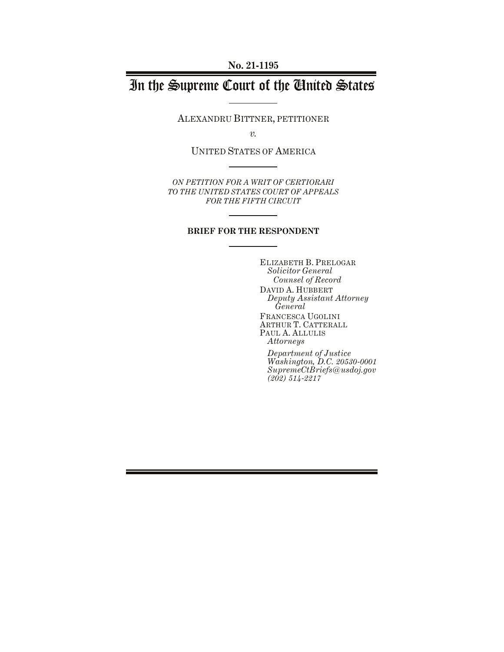# In the Supreme Court of the United States

ALEXANDRU BITTNER, PETITIONER

*v.*

UNITED STATES OF AMERICA

*ON PETITION FOR A WRIT OF CERTIORARI TO THE UNITED STATES COURT OF APPEALS FOR THE FIFTH CIRCUIT*

#### **BRIEF FOR THE RESPONDENT**

ELIZABETH B. PRELOGAR *Solicitor General Counsel of Record* DAVID A. HUBBERT *Deputy Assistant Attorney General* FRANCESCA UGOLINI ARTHUR T. CATTERALL PAUL A. ALLULIS *Attorneys*

*Department of Justice Washington, D.C. 20530-0001 SupremeCtBriefs@usdoj.gov (202) 514-2217*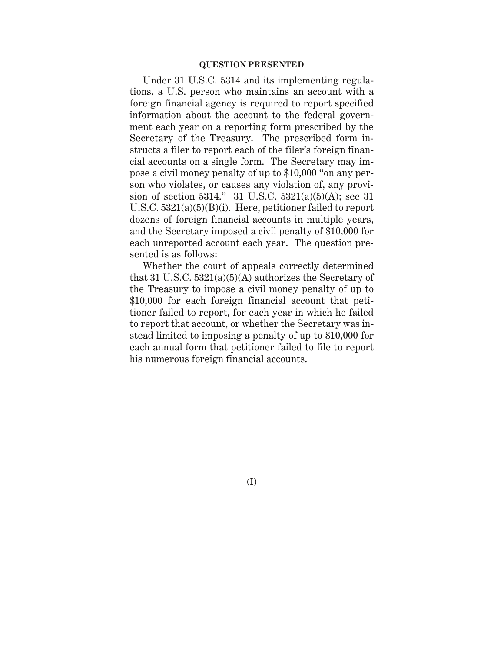#### **QUESTION PRESENTED**

Under 31 U.S.C. 5314 and its implementing regulations, a U.S. person who maintains an account with a foreign financial agency is required to report specified information about the account to the federal government each year on a reporting form prescribed by the Secretary of the Treasury. The prescribed form instructs a filer to report each of the filer's foreign financial accounts on a single form. The Secretary may impose a civil money penalty of up to \$10,000 "on any person who violates, or causes any violation of, any provision of section 5314." 31 U.S.C. 5321(a)(5)(A); see 31 U.S.C. 5321(a)(5)(B)(i). Here, petitioner failed to report dozens of foreign financial accounts in multiple years, and the Secretary imposed a civil penalty of \$10,000 for each unreported account each year. The question presented is as follows:

Whether the court of appeals correctly determined that 31 U.S.C. 5321(a)(5)(A) authorizes the Secretary of the Treasury to impose a civil money penalty of up to \$10,000 for each foreign financial account that petitioner failed to report, for each year in which he failed to report that account, or whether the Secretary was instead limited to imposing a penalty of up to \$10,000 for each annual form that petitioner failed to file to report his numerous foreign financial accounts.

(I)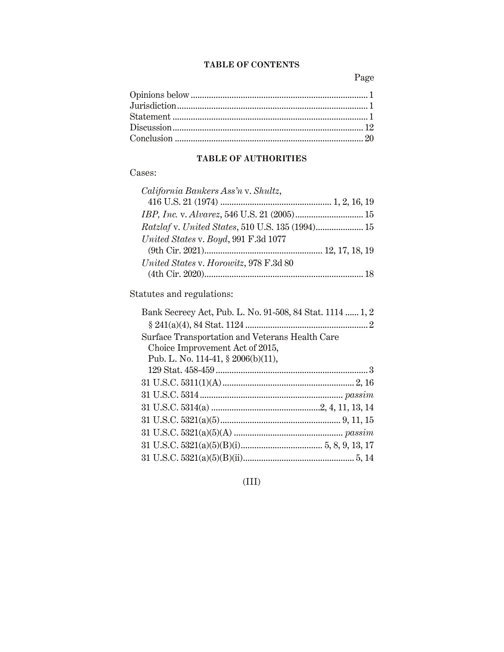### **TABLE OF CONTENTS**

Page

## **TABLE OF AUTHORITIES**

## Cases:

| California Bankers Ass'n v. Shultz,    |  |
|----------------------------------------|--|
|                                        |  |
|                                        |  |
|                                        |  |
| United States v. Boyd, 991 F.3d 1077   |  |
|                                        |  |
| United States v. Horowitz, 978 F.3d 80 |  |
|                                        |  |
|                                        |  |

Statutes and regulations:

(III)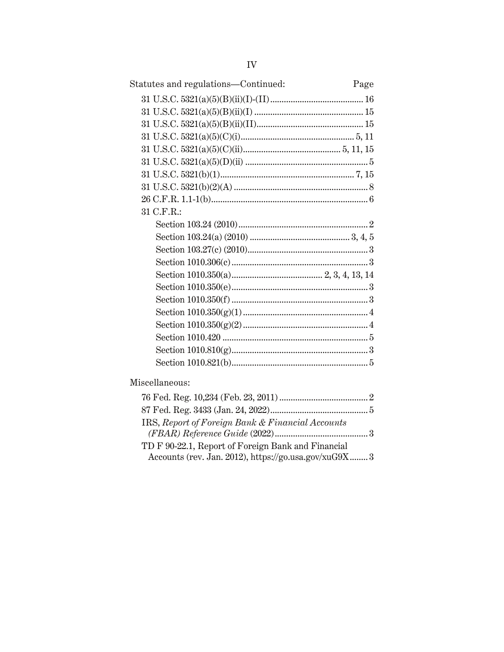| Statutes and regulations-Continued:                   | Page |
|-------------------------------------------------------|------|
|                                                       |      |
|                                                       |      |
|                                                       |      |
|                                                       |      |
|                                                       |      |
|                                                       |      |
|                                                       |      |
|                                                       |      |
|                                                       |      |
| 31 C.F.R.:                                            |      |
|                                                       |      |
|                                                       |      |
|                                                       |      |
|                                                       |      |
|                                                       |      |
|                                                       |      |
|                                                       |      |
|                                                       |      |
|                                                       |      |
|                                                       |      |
|                                                       |      |
|                                                       |      |
| Miscellaneous:                                        |      |
|                                                       |      |
|                                                       |      |
| IRS, Report of Foreign Bank & Financial Accounts      |      |
|                                                       |      |
| TD F 90-22.1, Report of Foreign Bank and Financial    |      |
| Accounts (rev. Jan. 2012), https://go.usa.gov/xuG9X 3 |      |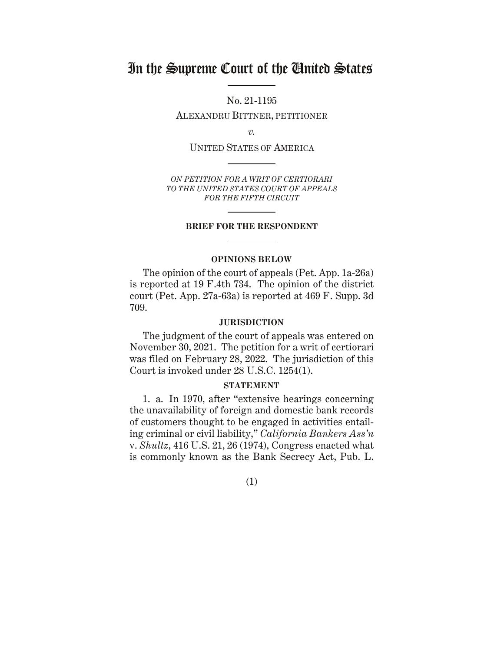## In the Supreme Court of the United States

No. 21-1195

ALEXANDRU BITTNER, PETITIONER

*v.*

UNITED STATES OF AMERICA

*ON PETITION FOR A WRIT OF CERTIORARI TO THE UNITED STATES COURT OF APPEALS FOR THE FIFTH CIRCUIT*

#### **BRIEF FOR THE RESPONDENT**

#### **OPINIONS BELOW**

<span id="page-4-0"></span>The opinion of the court of appeals (Pet. App. 1a-26a) is reported at 19 F.4th 734. The opinion of the district court (Pet. App. 27a-63a) is reported at 469 F. Supp. 3d 709.

#### **JURISDICTION**

<span id="page-4-1"></span>The judgment of the court of appeals was entered on November 30, 2021. The petition for a writ of certiorari was filed on February 28, 2022. The jurisdiction of this Court is invoked under 28 U.S.C. 1254(1).

#### **STATEMENT**

<span id="page-4-2"></span>1. a. In 1970, after "extensive hearings concerning the unavailability of foreign and domestic bank records of customers thought to be engaged in activities entailing criminal or civil liability," *California Bankers Ass'n* v. *Shultz*, 416 U.S. 21, 26 (1974), Congress enacted what is commonly known as the Bank Secrecy Act, Pub. L.

(1)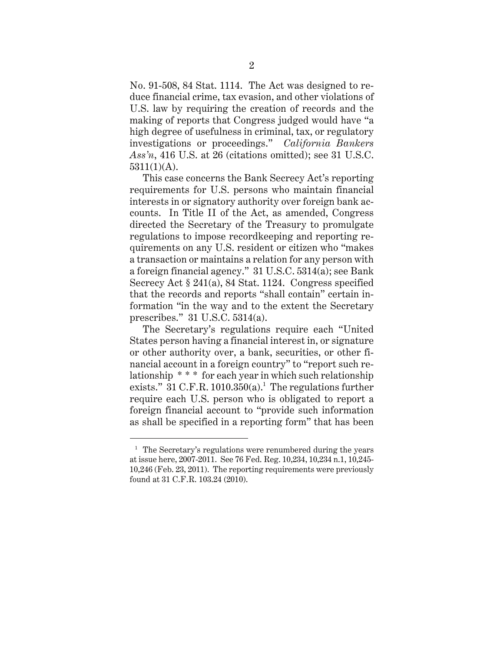No. 91-508, 84 Stat. 1114. The Act was designed to reduce financial crime, tax evasion, and other violations of U.S. law by requiring the creation of records and the making of reports that Congress judged would have "a high degree of usefulness in criminal, tax, or regulatory investigations or proceedings." *California Bankers Ass'n*, 416 U.S. at 26 (citations omitted); see 31 U.S.C. 5311(1)(A).

This case concerns the Bank Secrecy Act's reporting requirements for U.S. persons who maintain financial interests in or signatory authority over foreign bank accounts. In Title II of the Act, as amended, Congress directed the Secretary of the Treasury to promulgate regulations to impose recordkeeping and reporting requirements on any U.S. resident or citizen who "makes a transaction or maintains a relation for any person with a foreign financial agency." 31 U.S.C. 5314(a); see Bank Secrecy Act § 241(a), 84 Stat. 1124. Congress specified that the records and reports "shall contain" certain information "in the way and to the extent the Secretary prescribes." 31 U.S.C. 5314(a).

The Secretary's regulations require each "United States person having a financial interest in, or signature or other authority over, a bank, securities, or other financial account in a foreign country" to "report such relationship \* \* \* for each year in which such relationship exists."  $31$  C.F.R.  $1010.350(a)$ .<sup>1</sup> The regulations further require each U.S. person who is obligated to report a foreign financial account to "provide such information as shall be specified in a reporting form" that has been

 $<sup>1</sup>$  The Secretary's regulations were renumbered during the years</sup> at issue here, 2007-2011. See 76 Fed. Reg. 10,234, 10,234 n.1, 10,245- 10,246 (Feb. 23, 2011). The reporting requirements were previously found at 31 C.F.R. 103.24 (2010).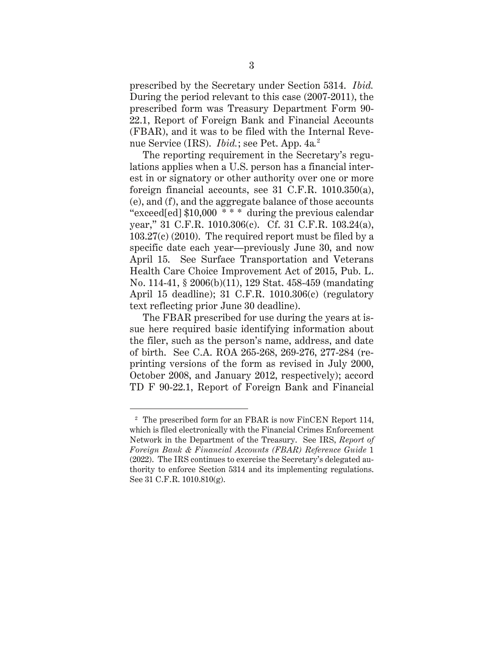prescribed by the Secretary under Section 5314. *Ibid.* During the period relevant to this case (2007-2011), the prescribed form was Treasury Department Form 90- 22.1, Report of Foreign Bank and Financial Accounts (FBAR), and it was to be filed with the Internal Revenue Service (IRS). *Ibid.*; see Pet. App. 4a*.* 2

The reporting requirement in the Secretary's regulations applies when a U.S. person has a financial interest in or signatory or other authority over one or more foreign financial accounts, see 31 C.F.R. 1010.350(a), (e), and (f), and the aggregate balance of those accounts "exceed[ed] \$10,000 \* \* \* during the previous calendar year," 31 C.F.R. 1010.306(c). Cf. 31 C.F.R. 103.24(a), 103.27(c) (2010). The required report must be filed by a specific date each year—previously June 30, and now April 15. See Surface Transportation and Veterans Health Care Choice Improvement Act of 2015, Pub. L. No. 114-41, § 2006(b)(11), 129 Stat. 458-459 (mandating April 15 deadline); 31 C.F.R. 1010.306(c) (regulatory text reflecting prior June 30 deadline).

The FBAR prescribed for use during the years at issue here required basic identifying information about the filer, such as the person's name, address, and date of birth. See C.A. ROA 265-268, 269-276, 277-284 (reprinting versions of the form as revised in July 2000, October 2008, and January 2012, respectively); accord TD F 90-22.1, Report of Foreign Bank and Financial

 $2\degree$  The prescribed form for an FBAR is now FinCEN Report 114, which is filed electronically with the Financial Crimes Enforcement Network in the Department of the Treasury. See IRS, *Report of Foreign Bank & Financial Accounts (FBAR) Reference Guide* 1 (2022). The IRS continues to exercise the Secretary's delegated authority to enforce Section 5314 and its implementing regulations. See 31 C.F.R. 1010.810(g).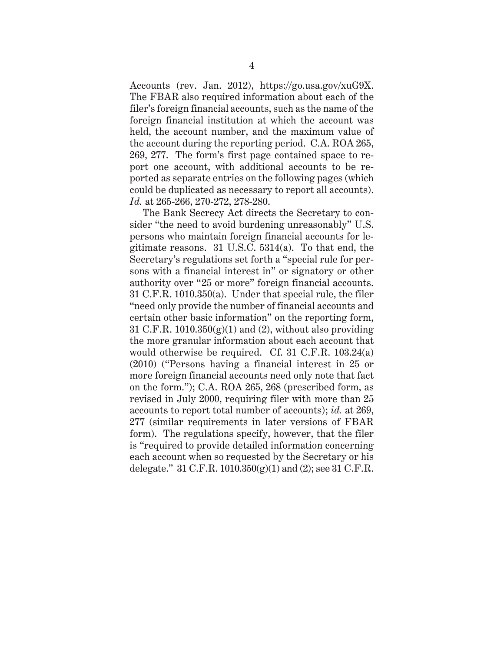Accounts (rev. Jan. 2012), https:/[/go.usa.gov/xuG9X.](https://go.usa.gov/xuG9X) The FBAR also required information about each of the filer's foreign financial accounts, such as the name of the foreign financial institution at which the account was held, the account number, and the maximum value of the account during the reporting period. C.A. ROA 265, 269, 277. The form's first page contained space to report one account, with additional accounts to be reported as separate entries on the following pages (which could be duplicated as necessary to report all accounts). *Id.* at 265-266, 270-272, 278-280.

The Bank Secrecy Act directs the Secretary to consider "the need to avoid burdening unreasonably" U.S. persons who maintain foreign financial accounts for legitimate reasons. 31 U.S.C. 5314(a). To that end, the Secretary's regulations set forth a "special rule for persons with a financial interest in" or signatory or other authority over "25 or more" foreign financial accounts. 31 C.F.R. 1010.350(a). Under that special rule, the filer "need only provide the number of financial accounts and certain other basic information" on the reporting form, 31 C.F.R.  $1010.350(g)(1)$  and (2), without also providing the more granular information about each account that would otherwise be required. Cf. 31 C.F.R. 103.24(a) (2010) ("Persons having a financial interest in 25 or more foreign financial accounts need only note that fact on the form."); C.A. ROA 265, 268 (prescribed form, as revised in July 2000, requiring filer with more than 25 accounts to report total number of accounts); *id.* at 269, 277 (similar requirements in later versions of FBAR form). The regulations specify, however, that the filer is "required to provide detailed information concerning each account when so requested by the Secretary or his delegate." 31 C.F.R.  $1010.350(g)(1)$  and (2); see 31 C.F.R.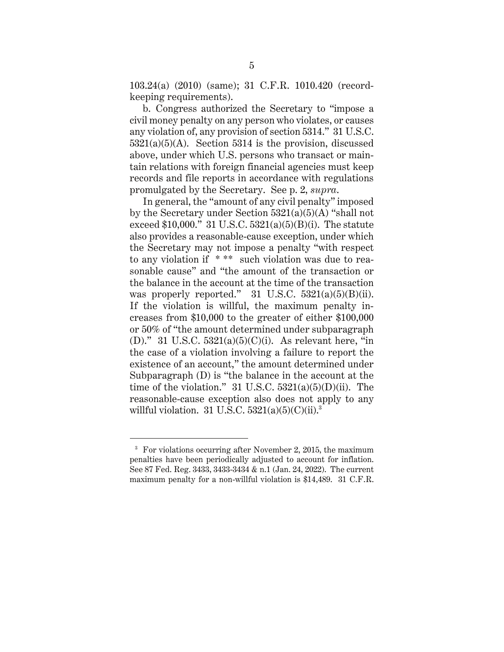103.24(a) (2010) (same); 31 C.F.R. 1010.420 (recordkeeping requirements).

b. Congress authorized the Secretary to "impose a civil money penalty on any person who violates, or causes any violation of, any provision of section 5314." 31 U.S.C.  $5321(a)(5)(A)$ . Section 5314 is the provision, discussed above, under which U.S. persons who transact or maintain relations with foreign financial agencies must keep records and file reports in accordance with regulations promulgated by the Secretary. See p. 2, *supra*.

In general, the "amount of any civil penalty" imposed by the Secretary under Section  $5321(a)(5)(A)$  "shall not exceed \$10,000." 31 U.S.C.  $5321(a)(5)(B)(i)$ . The statute also provides a reasonable-cause exception, under which the Secretary may not impose a penalty "with respect to any violation if \* \*\* such violation was due to reasonable cause" and "the amount of the transaction or the balance in the account at the time of the transaction was properly reported." 31 U.S.C.  $5321(a)(5)(B)(ii)$ . If the violation is willful, the maximum penalty increases from \$10,000 to the greater of either \$100,000 or 50% of "the amount determined under subparagraph (D)." 31 U.S.C.  $5321(a)(5)(C)(i)$ . As relevant here, "in the case of a violation involving a failure to report the existence of an account," the amount determined under Subparagraph (D) is "the balance in the account at the time of the violation." 31 U.S.C.  $5321(a)(5)(D)(ii)$ . The reasonable-cause exception also does not apply to any willful violation. 31 U.S.C.  $5321(a)(5)(C)(ii).$ <sup>3</sup>

<sup>&</sup>lt;sup>3</sup> For violations occurring after November 2, 2015, the maximum penalties have been periodically adjusted to account for inflation. See 87 Fed. Reg. 3433, 3433-3434 & n.1 (Jan. 24, 2022). The current maximum penalty for a non-willful violation is \$14,489. 31 C.F.R.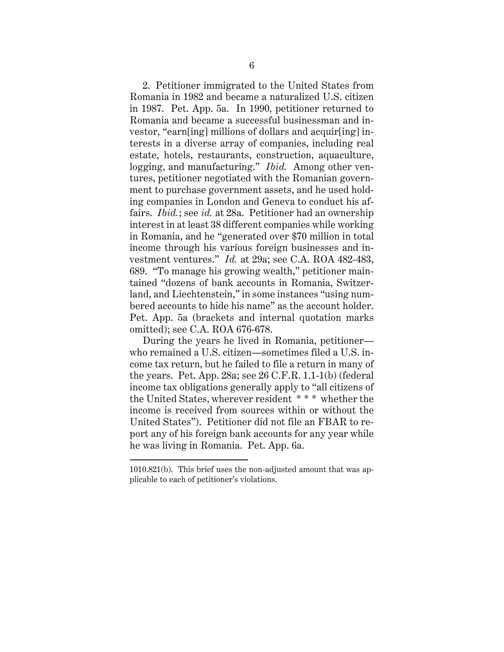2. Petitioner immigrated to the United States from Romania in 1982 and became a naturalized U.S. citizen in 1987. Pet. App. 5a. In 1990, petitioner returned to Romania and became a successful businessman and investor, "earn[ing] millions of dollars and acquir[ing] interests in a diverse array of companies, including real estate, hotels, restaurants, construction, aquaculture, logging, and manufacturing." *Ibid.* Among other ventures, petitioner negotiated with the Romanian government to purchase government assets, and he used holding companies in London and Geneva to conduct his affairs. *Ibid.*; see *id.* at 28a. Petitioner had an ownership interest in at least 38 different companies while working in Romania, and he "generated over \$70 million in total income through his various foreign businesses and investment ventures." *Id.* at 29a; see C.A. ROA 482-483, 689. "To manage his growing wealth," petitioner maintained "dozens of bank accounts in Romania, Switzerland, and Liechtenstein," in some instances "using numbered accounts to hide his name" as the account holder. Pet. App. 5a (brackets and internal quotation marks omitted); see C.A. ROA 676-678.

During the years he lived in Romania, petitioner who remained a U.S. citizen—sometimes filed a U.S. income tax return, but he failed to file a return in many of the years. Pet. App. 28a; see 26 C.F.R. 1.1-1(b) (federal income tax obligations generally apply to "all citizens of the United States, wherever resident \* \* \* whether the income is received from sources within or without the United States"). Petitioner did not file an FBAR to report any of his foreign bank accounts for any year while he was living in Romania. Pet. App. 6a.

<sup>1010.821(</sup>b). This brief uses the non-adjusted amount that was applicable to each of petitioner's violations.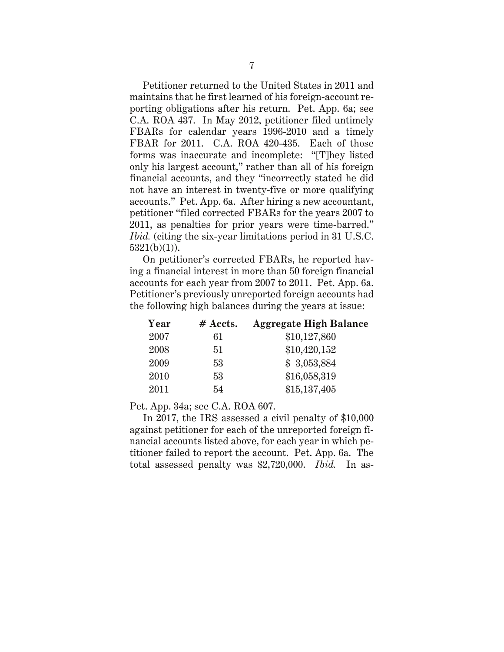Petitioner returned to the United States in 2011 and maintains that he first learned of his foreign-account reporting obligations after his return. Pet. App. 6a; see C.A. ROA 437. In May 2012, petitioner filed untimely FBARs for calendar years 1996-2010 and a timely FBAR for 2011. C.A. ROA 420-435. Each of those forms was inaccurate and incomplete: "[T]hey listed only his largest account," rather than all of his foreign financial accounts, and they "incorrectly stated he did not have an interest in twenty-five or more qualifying accounts." Pet. App. 6a. After hiring a new accountant, petitioner "filed corrected FBARs for the years 2007 to 2011, as penalties for prior years were time-barred." *Ibid.* (citing the six-year limitations period in 31 U.S.C.  $5321(b)(1)$ ).

On petitioner's corrected FBARs, he reported having a financial interest in more than 50 foreign financial accounts for each year from 2007 to 2011. Pet. App. 6a. Petitioner's previously unreported foreign accounts had the following high balances during the years at issue:

| Year | # Accts. | <b>Aggregate High Balance</b> |
|------|----------|-------------------------------|
| 2007 | 61       | \$10,127,860                  |
| 2008 | 51       | \$10,420,152                  |
| 2009 | 53       | \$3,053,884                   |
| 2010 | 53       | \$16,058,319                  |
| 2011 | 54       | \$15,137,405                  |

Pet. App. 34a; see C.A. ROA 607.

In 2017, the IRS assessed a civil penalty of \$10,000 against petitioner for each of the unreported foreign financial accounts listed above, for each year in which petitioner failed to report the account. Pet. App. 6a. The total assessed penalty was \$2,720,000. *Ibid.* In as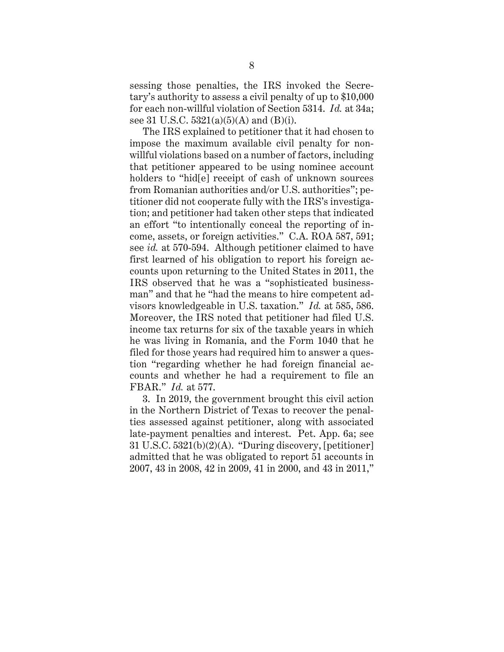sessing those penalties, the IRS invoked the Secretary's authority to assess a civil penalty of up to \$10,000 for each non-willful violation of Section 5314. *Id.* at 34a; see 31 U.S.C.  $5321(a)(5)(A)$  and (B)(i).

The IRS explained to petitioner that it had chosen to impose the maximum available civil penalty for nonwillful violations based on a number of factors, including that petitioner appeared to be using nominee account holders to "hid[e] receipt of cash of unknown sources from Romanian authorities and/or U.S. authorities"; petitioner did not cooperate fully with the IRS's investigation; and petitioner had taken other steps that indicated an effort "to intentionally conceal the reporting of income, assets, or foreign activities." C.A. ROA 587, 591; see *id.* at 570-594. Although petitioner claimed to have first learned of his obligation to report his foreign accounts upon returning to the United States in 2011, the IRS observed that he was a "sophisticated businessman" and that he "had the means to hire competent advisors knowledgeable in U.S. taxation." *Id.* at 585, 586. Moreover, the IRS noted that petitioner had filed U.S. income tax returns for six of the taxable years in which he was living in Romania, and the Form 1040 that he filed for those years had required him to answer a question "regarding whether he had foreign financial accounts and whether he had a requirement to file an FBAR." *Id.* at 577.

3. In 2019, the government brought this civil action in the Northern District of Texas to recover the penalties assessed against petitioner, along with associated late-payment penalties and interest. Pet. App. 6a; see 31 U.S.C. 5321(b)(2)(A). "During discovery, [petitioner] admitted that he was obligated to report 51 accounts in 2007, 43 in 2008, 42 in 2009, 41 in 2000, and 43 in 2011,"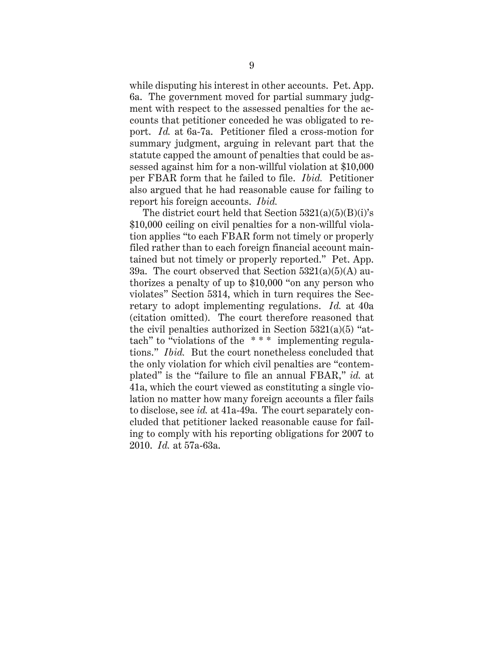while disputing his interest in other accounts. Pet. App. 6a. The government moved for partial summary judgment with respect to the assessed penalties for the accounts that petitioner conceded he was obligated to report. *Id.* at 6a-7a. Petitioner filed a cross-motion for summary judgment, arguing in relevant part that the statute capped the amount of penalties that could be assessed against him for a non-willful violation at \$10,000 per FBAR form that he failed to file. *Ibid.* Petitioner also argued that he had reasonable cause for failing to report his foreign accounts. *Ibid.*

The district court held that Section  $5321(a)(5)(B)(i)$ 's \$10,000 ceiling on civil penalties for a non-willful violation applies "to each FBAR form not timely or properly filed rather than to each foreign financial account maintained but not timely or properly reported." Pet. App. 39a. The court observed that Section  $5321(a)(5)(A)$  authorizes a penalty of up to \$10,000 "on any person who violates" Section 5314, which in turn requires the Secretary to adopt implementing regulations. *Id.* at 40a (citation omitted). The court therefore reasoned that the civil penalties authorized in Section  $5321(a)(5)$  "attach" to "violations of the \* \* \* implementing regulations." *Ibid.* But the court nonetheless concluded that the only violation for which civil penalties are "contemplated" is the "failure to file an annual FBAR," *id.* at 41a, which the court viewed as constituting a single violation no matter how many foreign accounts a filer fails to disclose, see *id.* at 41a-49a. The court separately concluded that petitioner lacked reasonable cause for failing to comply with his reporting obligations for 2007 to 2010. *Id.* at 57a-63a.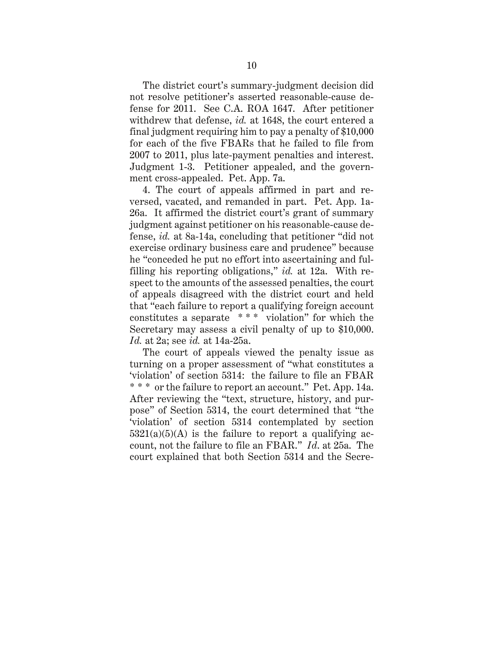The district court's summary-judgment decision did not resolve petitioner's asserted reasonable-cause defense for 2011. See C.A. ROA 1647. After petitioner withdrew that defense, *id.* at 1648, the court entered a final judgment requiring him to pay a penalty of \$10,000 for each of the five FBARs that he failed to file from 2007 to 2011, plus late-payment penalties and interest. Judgment 1-3. Petitioner appealed, and the government cross-appealed. Pet. App. 7a.

4. The court of appeals affirmed in part and reversed, vacated, and remanded in part. Pet. App. 1a-26a. It affirmed the district court's grant of summary judgment against petitioner on his reasonable-cause defense, *id.* at 8a-14a, concluding that petitioner "did not exercise ordinary business care and prudence" because he "conceded he put no effort into ascertaining and fulfilling his reporting obligations," *id.* at 12a. With respect to the amounts of the assessed penalties, the court of appeals disagreed with the district court and held that "each failure to report a qualifying foreign account constitutes a separate \* \* \* violation" for which the Secretary may assess a civil penalty of up to \$10,000. *Id.* at 2a; see *id.* at 14a-25a.

The court of appeals viewed the penalty issue as turning on a proper assessment of "what constitutes a 'violation' of section 5314: the failure to file an FBAR \* \* \* or the failure to report an account." Pet. App. 14a. After reviewing the "text, structure, history, and purpose" of Section 5314, the court determined that "the 'violation' of section 5314 contemplated by section  $5321(a)(5)(A)$  is the failure to report a qualifying account, not the failure to file an FBAR." *Id*. at 25a. The court explained that both Section 5314 and the Secre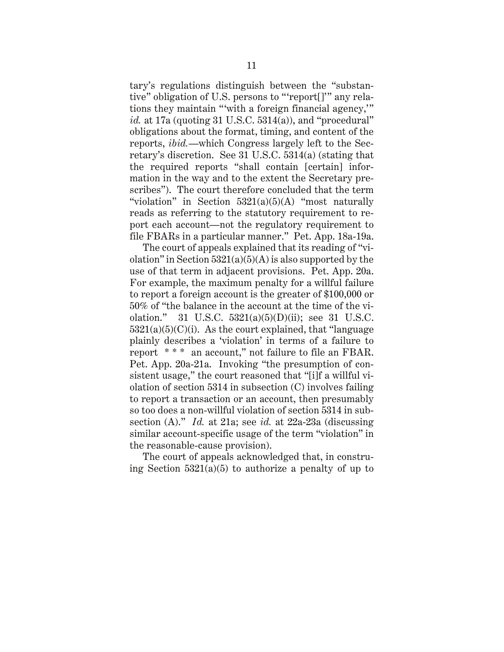tary's regulations distinguish between the "substantive" obligation of U.S. persons to "'report[]'" any relations they maintain "'with a foreign financial agency,'" *id.* at 17a (quoting 31 U.S.C. 5314(a)), and "procedural" obligations about the format, timing, and content of the reports, *ibid.*—which Congress largely left to the Secretary's discretion. See 31 U.S.C. 5314(a) (stating that the required reports "shall contain [certain] information in the way and to the extent the Secretary prescribes"). The court therefore concluded that the term "violation" in Section  $5321(a)(5)(A)$  "most naturally" reads as referring to the statutory requirement to report each account—not the regulatory requirement to file FBARs in a particular manner." Pet. App. 18a-19a.

The court of appeals explained that its reading of "violation" in Section  $5321(a)(5)(A)$  is also supported by the use of that term in adjacent provisions. Pet. App. 20a. For example, the maximum penalty for a willful failure to report a foreign account is the greater of \$100,000 or 50% of "the balance in the account at the time of the violation." 31 U.S.C. 5321(a)(5)(D)(ii); see 31 U.S.C.  $5321(a)(5)(C)(i)$ . As the court explained, that "language" plainly describes a 'violation' in terms of a failure to report \* \* \* an account," not failure to file an FBAR. Pet. App. 20a-21a. Invoking "the presumption of consistent usage," the court reasoned that "[i]f a willful violation of section 5314 in subsection (C) involves failing to report a transaction or an account, then presumably so too does a non-willful violation of section 5314 in subsection (A)." *Id.* at 21a; see *id.* at 22a-23a (discussing similar account-specific usage of the term "violation" in the reasonable-cause provision).

The court of appeals acknowledged that, in construing Section  $5321(a)(5)$  to authorize a penalty of up to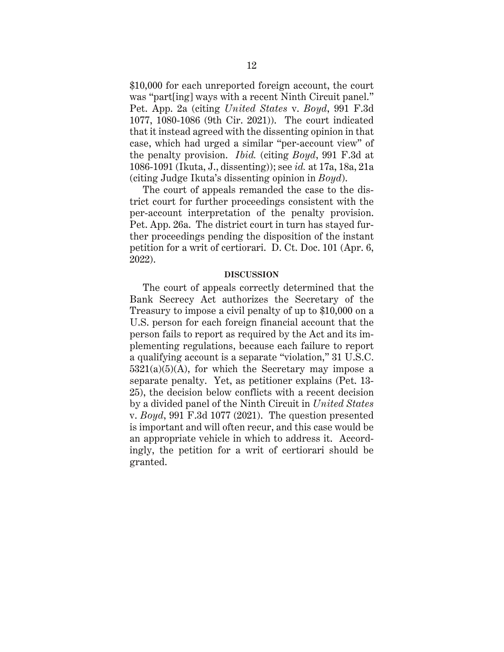\$10,000 for each unreported foreign account, the court was "part[ing] ways with a recent Ninth Circuit panel." Pet. App. 2a (citing *United States* v. *Boyd*, 991 F.3d 1077, 1080-1086 (9th Cir. 2021)). The court indicated that it instead agreed with the dissenting opinion in that case, which had urged a similar "per-account view" of the penalty provision. *Ibid.* (citing *Boyd*, 991 F.3d at 1086-1091 (Ikuta, J., dissenting)); see *id.* at 17a, 18a, 21a (citing Judge Ikuta's dissenting opinion in *Boyd*).

The court of appeals remanded the case to the district court for further proceedings consistent with the per-account interpretation of the penalty provision. Pet. App. 26a. The district court in turn has stayed further proceedings pending the disposition of the instant petition for a writ of certiorari. D. Ct. Doc. 101 (Apr. 6, 2022).

#### **DISCUSSION**

<span id="page-15-0"></span>The court of appeals correctly determined that the Bank Secrecy Act authorizes the Secretary of the Treasury to impose a civil penalty of up to \$10,000 on a U.S. person for each foreign financial account that the person fails to report as required by the Act and its implementing regulations, because each failure to report a qualifying account is a separate "violation," 31 U.S.C.  $5321(a)(5)(A)$ , for which the Secretary may impose a separate penalty. Yet, as petitioner explains (Pet. 13- 25), the decision below conflicts with a recent decision by a divided panel of the Ninth Circuit in *United States* v. *Boyd*, 991 F.3d 1077 (2021). The question presented is important and will often recur, and this case would be an appropriate vehicle in which to address it. Accordingly, the petition for a writ of certiorari should be granted.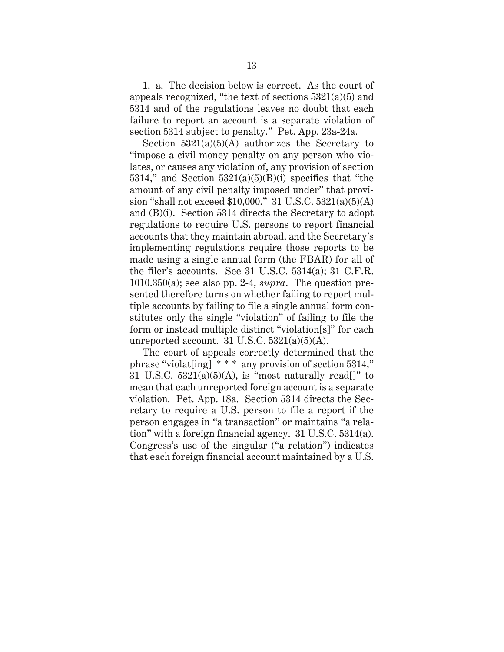1. a. The decision below is correct. As the court of appeals recognized, "the text of sections 5321(a)(5) and 5314 and of the regulations leaves no doubt that each failure to report an account is a separate violation of section 5314 subject to penalty." Pet. App. 23a-24a.

Section  $5321(a)(5)(A)$  authorizes the Secretary to "impose a civil money penalty on any person who violates, or causes any violation of, any provision of section 5314," and Section  $5321(a)(5)(B)(i)$  specifies that "the amount of any civil penalty imposed under" that provision "shall not exceed \$10,000." 31 U.S.C. 5321(a)(5)(A) and (B)(i). Section 5314 directs the Secretary to adopt regulations to require U.S. persons to report financial accounts that they maintain abroad, and the Secretary's implementing regulations require those reports to be made using a single annual form (the FBAR) for all of the filer's accounts. See 31 U.S.C. 5314(a); 31 C.F.R. 1010.350(a); see also pp. 2-4, *supra*. The question presented therefore turns on whether failing to report multiple accounts by failing to file a single annual form constitutes only the single "violation" of failing to file the form or instead multiple distinct "violation[s]" for each unreported account. 31 U.S.C.  $5321(a)(5)(A)$ .

The court of appeals correctly determined that the phrase "violat[ing] \* \* \* any provision of section 5314," 31 U.S.C.  $5321(a)(5)(A)$ , is "most naturally read[]" to mean that each unreported foreign account is a separate violation. Pet. App. 18a. Section 5314 directs the Secretary to require a U.S. person to file a report if the person engages in "a transaction" or maintains "a relation" with a foreign financial agency. 31 U.S.C. 5314(a). Congress's use of the singular ("a relation") indicates that each foreign financial account maintained by a U.S.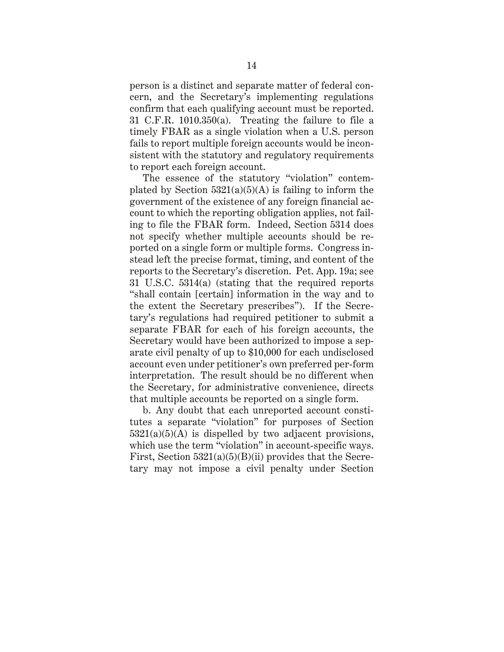person is a distinct and separate matter of federal concern, and the Secretary's implementing regulations confirm that each qualifying account must be reported. 31 C.F.R. 1010.350(a). Treating the failure to file a timely FBAR as a single violation when a U.S. person fails to report multiple foreign accounts would be inconsistent with the statutory and regulatory requirements to report each foreign account.

The essence of the statutory "violation" contemplated by Section  $5321(a)(5)(A)$  is failing to inform the government of the existence of any foreign financial account to which the reporting obligation applies, not failing to file the FBAR form. Indeed, Section 5314 does not specify whether multiple accounts should be reported on a single form or multiple forms. Congress instead left the precise format, timing, and content of the reports to the Secretary's discretion. Pet. App. 19a; see 31 U.S.C. 5314(a) (stating that the required reports "shall contain [certain] information in the way and to the extent the Secretary prescribes"). If the Secretary's regulations had required petitioner to submit a separate FBAR for each of his foreign accounts, the Secretary would have been authorized to impose a separate civil penalty of up to \$10,000 for each undisclosed account even under petitioner's own preferred per-form interpretation. The result should be no different when the Secretary, for administrative convenience, directs that multiple accounts be reported on a single form.

b. Any doubt that each unreported account constitutes a separate "violation" for purposes of Section  $5321(a)(5)(A)$  is dispelled by two adjacent provisions, which use the term "violation" in account-specific ways. First, Section  $5321(a)(5)(B)(ii)$  provides that the Secretary may not impose a civil penalty under Section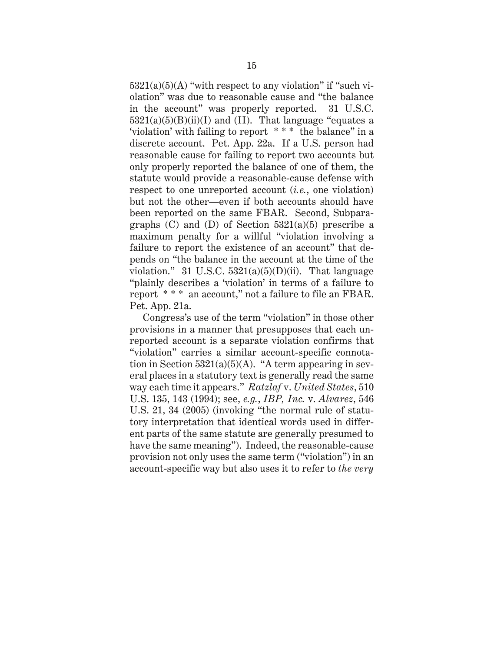$5321(a)(5)(A)$  "with respect to any violation" if "such violation" was due to reasonable cause and "the balance in the account" was properly reported. 31 U.S.C.  $5321(a)(5)(B)(ii)(I)$  and (II). That language "equates a 'violation' with failing to report \* \* \* the balance" in a discrete account. Pet. App. 22a. If a U.S. person had reasonable cause for failing to report two accounts but only properly reported the balance of one of them, the statute would provide a reasonable-cause defense with respect to one unreported account (*i.e.*, one violation) but not the other—even if both accounts should have been reported on the same FBAR. Second, Subparagraphs  $(C)$  and  $(D)$  of Section 5321(a)(5) prescribe a maximum penalty for a willful "violation involving a failure to report the existence of an account" that depends on "the balance in the account at the time of the violation." 31 U.S.C.  $5321(a)(5)(D)(ii)$ . That language "plainly describes a 'violation' in terms of a failure to report \* \* \* an account," not a failure to file an FBAR. Pet. App. 21a.

Congress's use of the term "violation" in those other provisions in a manner that presupposes that each unreported account is a separate violation confirms that "violation" carries a similar account-specific connotation in Section  $5321(a)(5)(A)$ . "A term appearing in several places in a statutory text is generally read the same way each time it appears." *Ratzlaf* v. *United States*, 510 U.S. 135, 143 (1994); see, *e.g.*, *IBP, Inc.* v. *Alvarez*, 546 U.S. 21, 34 (2005) (invoking "the normal rule of statutory interpretation that identical words used in different parts of the same statute are generally presumed to have the same meaning"). Indeed, the reasonable-cause provision not only uses the same term ("violation") in an account-specific way but also uses it to refer to *the very*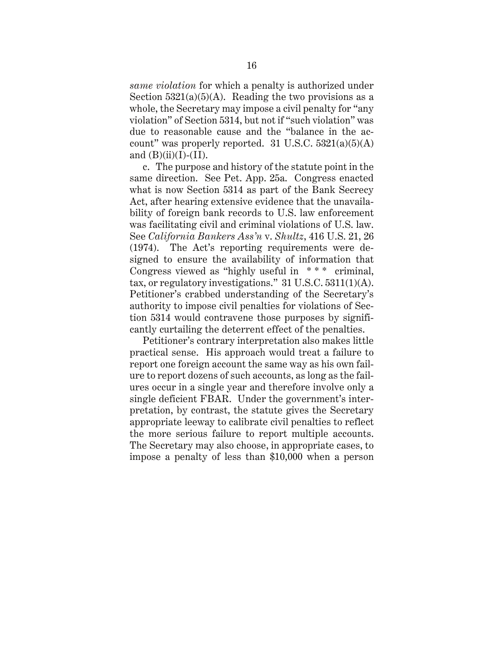*same violation* for which a penalty is authorized under Section  $5321(a)(5)(A)$ . Reading the two provisions as a whole, the Secretary may impose a civil penalty for "any violation" of Section 5314, but not if "such violation" was due to reasonable cause and the "balance in the account" was properly reported. 31 U.S.C.  $5321(a)(5)(A)$ and  $(B)(ii)(I)-(II)$ .

c. The purpose and history of the statute point in the same direction. See Pet. App. 25a. Congress enacted what is now Section 5314 as part of the Bank Secrecy Act, after hearing extensive evidence that the unavailability of foreign bank records to U.S. law enforcement was facilitating civil and criminal violations of U.S. law. See *California Bankers Ass'n* v. *Shultz*, 416 U.S. 21, 26 (1974). The Act's reporting requirements were designed to ensure the availability of information that Congress viewed as "highly useful in \*\*\* criminal, tax, or regulatory investigations." 31 U.S.C. 5311(1)(A). Petitioner's crabbed understanding of the Secretary's authority to impose civil penalties for violations of Section 5314 would contravene those purposes by significantly curtailing the deterrent effect of the penalties.

Petitioner's contrary interpretation also makes little practical sense. His approach would treat a failure to report one foreign account the same way as his own failure to report dozens of such accounts, as long as the failures occur in a single year and therefore involve only a single deficient FBAR. Under the government's interpretation, by contrast, the statute gives the Secretary appropriate leeway to calibrate civil penalties to reflect the more serious failure to report multiple accounts. The Secretary may also choose, in appropriate cases, to impose a penalty of less than \$10,000 when a person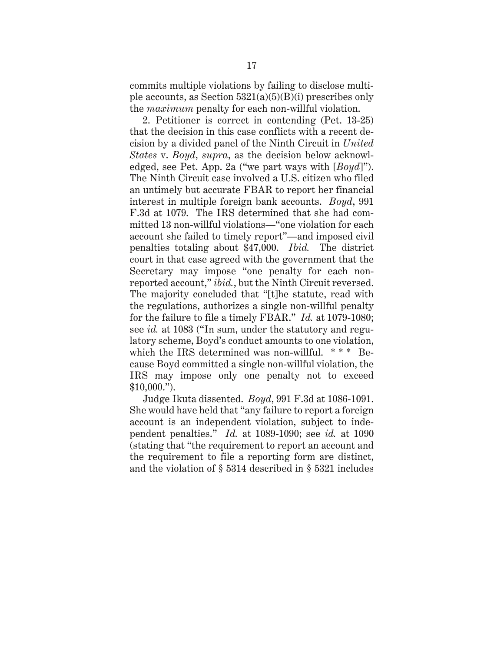commits multiple violations by failing to disclose multiple accounts, as Section  $5321(a)(5)(B)(i)$  prescribes only the *maximum* penalty for each non-willful violation.

2. Petitioner is correct in contending (Pet. 13-25) that the decision in this case conflicts with a recent decision by a divided panel of the Ninth Circuit in *United States* v. *Boyd*, *supra*, as the decision below acknowledged, see Pet. App. 2a ("we part ways with [*Boyd*]"). The Ninth Circuit case involved a U.S. citizen who filed an untimely but accurate FBAR to report her financial interest in multiple foreign bank accounts. *Boyd*, 991 F.3d at 1079. The IRS determined that she had committed 13 non-willful violations—"one violation for each account she failed to timely report"—and imposed civil penalties totaling about \$47,000. *Ibid.* The district court in that case agreed with the government that the Secretary may impose "one penalty for each nonreported account," *ibid.*, but the Ninth Circuit reversed. The majority concluded that "[t]he statute, read with the regulations, authorizes a single non-willful penalty for the failure to file a timely FBAR." *Id.* at 1079-1080; see *id.* at 1083 ("In sum, under the statutory and regulatory scheme, Boyd's conduct amounts to one violation, which the IRS determined was non-willful. \*\*\* Because Boyd committed a single non-willful violation, the IRS may impose only one penalty not to exceed \$10,000.").

Judge Ikuta dissented. *Boyd*, 991 F.3d at 1086-1091. She would have held that "any failure to report a foreign account is an independent violation, subject to independent penalties." *Id.* at 1089-1090; see *id.* at 1090 (stating that "the requirement to report an account and the requirement to file a reporting form are distinct, and the violation of § 5314 described in § 5321 includes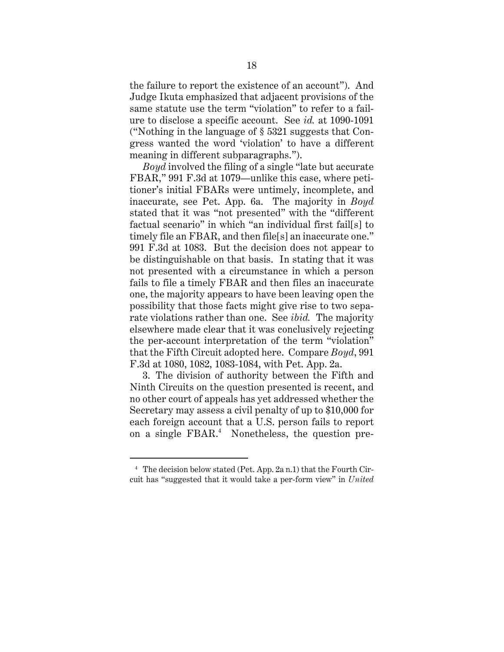the failure to report the existence of an account"). And Judge Ikuta emphasized that adjacent provisions of the same statute use the term "violation" to refer to a failure to disclose a specific account. See *id.* at 1090-1091 ("Nothing in the language of § 5321 suggests that Congress wanted the word 'violation' to have a different meaning in different subparagraphs.").

*Boyd* involved the filing of a single "late but accurate FBAR," 991 F.3d at 1079—unlike this case, where petitioner's initial FBARs were untimely, incomplete, and inaccurate, see Pet. App. 6a. The majority in *Boyd* stated that it was "not presented" with the "different factual scenario" in which "an individual first fail[s] to timely file an FBAR, and then file[s] an inaccurate one." 991 F.3d at 1083. But the decision does not appear to be distinguishable on that basis. In stating that it was not presented with a circumstance in which a person fails to file a timely FBAR and then files an inaccurate one, the majority appears to have been leaving open the possibility that those facts might give rise to two separate violations rather than one. See *ibid.* The majority elsewhere made clear that it was conclusively rejecting the per-account interpretation of the term "violation" that the Fifth Circuit adopted here. Compare *Boyd*, 991 F.3d at 1080, 1082, 1083-1084, with Pet. App. 2a.

3. The division of authority between the Fifth and Ninth Circuits on the question presented is recent, and no other court of appeals has yet addressed whether the Secretary may assess a civil penalty of up to \$10,000 for each foreign account that a U.S. person fails to report on a single FBAR. 4 Nonetheless, the question pre-

<sup>4</sup> The decision below stated (Pet. App. 2a n.1) that the Fourth Circuit has "suggested that it would take a per-form view" in *United*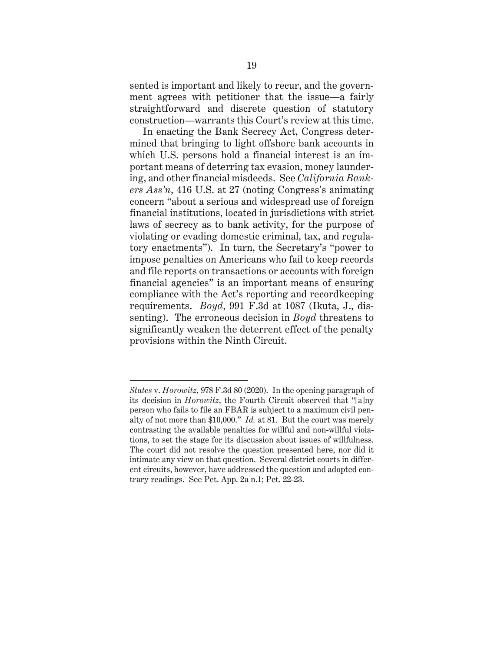sented is important and likely to recur, and the government agrees with petitioner that the issue—a fairly straightforward and discrete question of statutory construction—warrants this Court's review at this time.

In enacting the Bank Secrecy Act, Congress determined that bringing to light offshore bank accounts in which U.S. persons hold a financial interest is an important means of deterring tax evasion, money laundering, and other financial misdeeds. See *California Bankers Ass'n*, 416 U.S. at 27 (noting Congress's animating concern "about a serious and widespread use of foreign financial institutions, located in jurisdictions with strict laws of secrecy as to bank activity, for the purpose of violating or evading domestic criminal, tax, and regulatory enactments"). In turn, the Secretary's "power to impose penalties on Americans who fail to keep records and file reports on transactions or accounts with foreign financial agencies" is an important means of ensuring compliance with the Act's reporting and recordkeeping requirements. *Boyd*, 991 F.3d at 1087 (Ikuta, J., dissenting). The erroneous decision in *Boyd* threatens to significantly weaken the deterrent effect of the penalty provisions within the Ninth Circuit.

*States* v. *Horowitz*, 978 F.3d 80 (2020). In the opening paragraph of its decision in *Horowitz*, the Fourth Circuit observed that "[a]ny person who fails to file an FBAR is subject to a maximum civil penalty of not more than \$10,000." *Id.* at 81. But the court was merely contrasting the available penalties for willful and non-willful violations, to set the stage for its discussion about issues of willfulness. The court did not resolve the question presented here, nor did it intimate any view on that question. Several district courts in different circuits, however, have addressed the question and adopted contrary readings. See Pet. App. 2a n.1; Pet. 22-23.